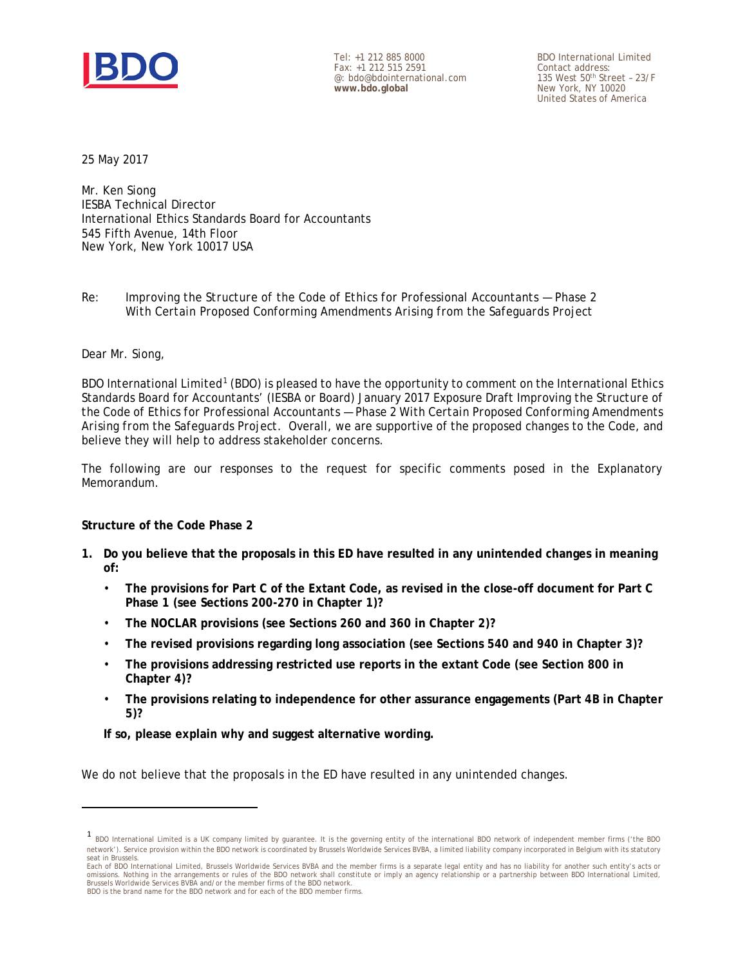

Tel: +1 212 885 8000 Fax: +1 212 515 2591 @: bdo@bdointernational.com **www.bdo.global**

BDO International Limited Contact address: 135 West 50th Street – 23/F New York, NY 10020 United States of America

25 May 2017

Mr. Ken Siong IESBA Technical Director International Ethics Standards Board for Accountants 545 Fifth Avenue, 14th Floor New York, New York 10017 USA

### *Re: Improving the Structure of the Code of Ethics for Professional Accountants — Phase 2 With Certain Proposed Conforming Amendments Arising from the Safeguards Project*

#### Dear Mr. Siong,

<span id="page-0-0"></span>**.** 

BDO International Limited<sup>[1](#page-0-0)</sup> (BDO) is pleased to have the opportunity to comment on the International Ethics Standards Board for Accountants' (IESBA or Board) January 2017 Exposure Draft *Improving the Structure of the Code of Ethics for Professional Accountants — Phase 2 With Certain Proposed Conforming Amendments Arising from the Safeguards Project.* Overall, we are supportive of the proposed changes to the Code, and believe they will help to address stakeholder concerns.

The following are our responses to the request for specific comments posed in the Explanatory Memorandum.

#### **Structure of the Code Phase 2**

- **1. Do you believe that the proposals in this ED have resulted in any unintended changes in meaning of:**
	- **The provisions for Part C of the Extant Code, as revised in the close-off document for Part C Phase 1 (see Sections 200-270 in Chapter 1)?**
	- **The NOCLAR provisions (see Sections 260 and 360 in Chapter 2)?**
	- **The revised provisions regarding long association (see Sections 540 and 940 in Chapter 3)?**
	- **The provisions addressing restricted use reports in the extant Code (see Section 800 in Chapter 4)?**
	- **The provisions relating to independence for other assurance engagements (Part 4B in Chapter 5)?**

**If so, please explain why and suggest alternative wording.** 

We do not believe that the proposals in the ED have resulted in any unintended changes.

<sup>1</sup> BDO International Limited is a UK company limited by guarantee. It is the governing entity of the international BDO network of independent member firms ('the BDO network'). Service provision within the BDO network is coordinated by Brussels Worldwide Services BVBA, a limited liability company incorporated in Belgium with its statutory seat in Brussels.

Each of BDO International Limited, Brussels Worldwide Services BVBA and the member firms is a separate legal entity and has no liability for another such entity's acts or omissions. Nothing in the arrangements or rules of the BDO network shall constitute or imply an agency relationship or a partnership between BDO International Limited, Brussels Worldwide Services BVBA and/or the member firms of the BDO network. BDO is the brand name for the BDO network and for each of the BDO member firms.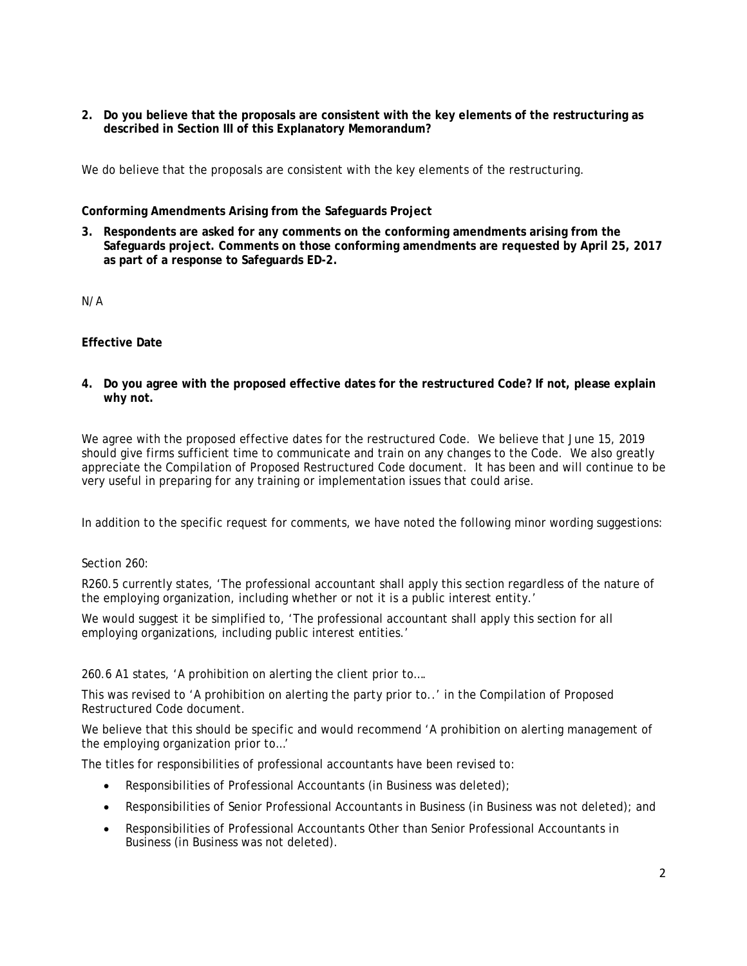**2. Do you believe that the proposals are consistent with the key elements of the restructuring as described in Section III of this Explanatory Memorandum?**

We do believe that the proposals are consistent with the key elements of the restructuring.

### **Conforming Amendments Arising from the Safeguards Project**

**3. Respondents are asked for any comments on the conforming amendments arising from the Safeguards project. Comments on those conforming amendments are requested by April 25, 2017 as part of a response to Safeguards ED-2.**

N/A

# **Effective Date**

**4. Do you agree with the proposed effective dates for the restructured Code? If not, please explain why not.**

We agree with the proposed effective dates for the restructured Code. We believe that June 15, 2019 should give firms sufficient time to communicate and train on any changes to the Code. We also greatly appreciate the Compilation of Proposed Restructured Code document. It has been and will continue to be very useful in preparing for any training or implementation issues that could arise.

In addition to the specific request for comments, we have noted the following minor wording suggestions:

# Section 260:

R260.5 currently states, 'The professional accountant shall apply this section regardless of the nature of the employing organization, including whether or not it is a public interest entity.'

We would suggest it be simplified to, 'The professional accountant shall apply this section for all employing organizations, including public interest entities.'

260.6 A1 states, 'A prohibition on alerting the client prior to….

This was revised to 'A prohibition on alerting the party prior to..' in the Compilation of Proposed Restructured Code document.

We believe that this should be specific and would recommend 'A prohibition on alerting management of the employing organization prior to…'

The titles for responsibilities of professional accountants have been revised to:

- Responsibilities of Professional Accountants (in Business was deleted);
- Responsibilities of Senior Professional Accountants in Business (in Business was not deleted); and
- Responsibilities of Professional Accountants Other than Senior Professional Accountants in Business (in Business was not deleted).